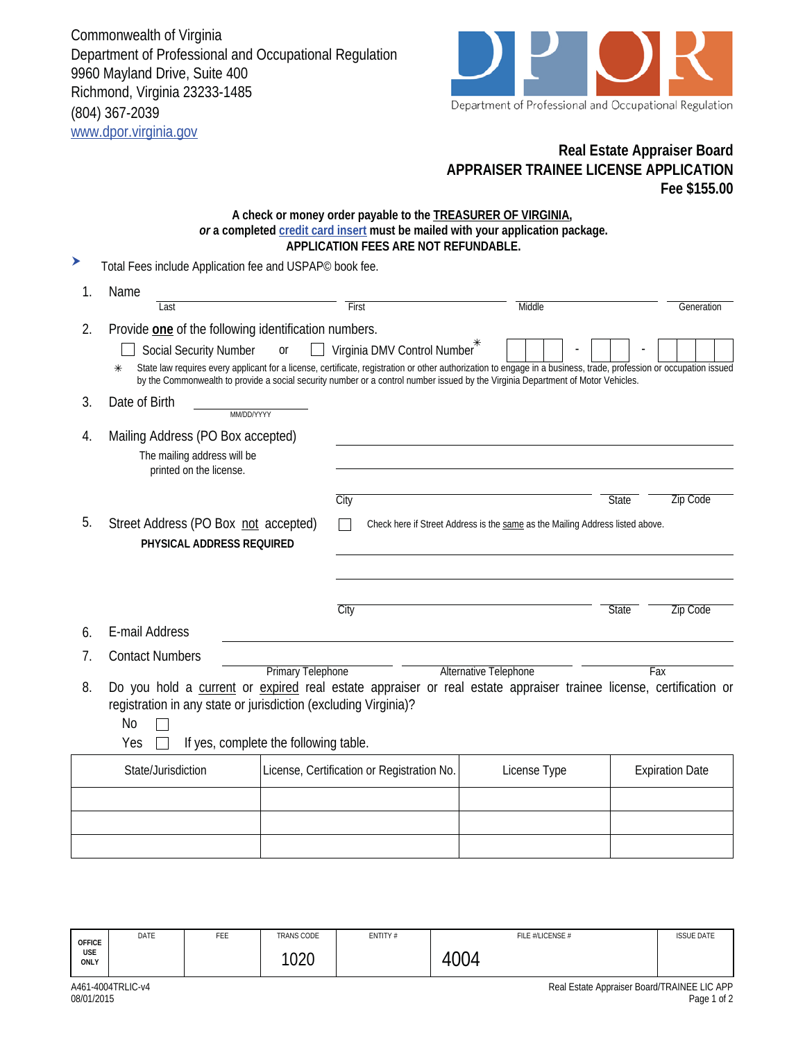Commonwealth of Virginia Department of Professional and Occupational Regulation 9960 Mayland Drive, Suite 400 Richmond, Virginia 23233-1485 (804) 367-2039 www.dpor.virginia.gov



## **Real Estate Appraiser Board APPRAISER TRAINEE LICENSE APPLICATION Fee \$155.00**

## **A check or money order payable to the TREASURER OF VIRGINIA,**  *or* **a completed credit card insert must be mailed with your application package. APPLICATION FEES ARE NOT REFUNDABLE.**

| ▶  | Total Fees include Application fee and USPAP <sup>®</sup> book fee.                                                                                                                                                                                                                                           |    |                                            |                                                                                                                                  |                                                                                                                                                                    |  |
|----|---------------------------------------------------------------------------------------------------------------------------------------------------------------------------------------------------------------------------------------------------------------------------------------------------------------|----|--------------------------------------------|----------------------------------------------------------------------------------------------------------------------------------|--------------------------------------------------------------------------------------------------------------------------------------------------------------------|--|
| 1. | Name                                                                                                                                                                                                                                                                                                          |    |                                            |                                                                                                                                  |                                                                                                                                                                    |  |
|    | Last                                                                                                                                                                                                                                                                                                          |    | First                                      | Middle                                                                                                                           | Generation                                                                                                                                                         |  |
| 2. | Provide one of the following identification numbers.                                                                                                                                                                                                                                                          |    |                                            |                                                                                                                                  |                                                                                                                                                                    |  |
|    | <b>Social Security Number</b>                                                                                                                                                                                                                                                                                 | or | Virginia DMV Control Number*               |                                                                                                                                  |                                                                                                                                                                    |  |
|    | $\ast$                                                                                                                                                                                                                                                                                                        |    |                                            | by the Commonwealth to provide a social security number or a control number issued by the Virginia Department of Motor Vehicles. | State law requires every applicant for a license, certificate, registration or other authorization to engage in a business, trade, profession or occupation issued |  |
| 3. | Date of Birth<br>MM/DD/YYYY                                                                                                                                                                                                                                                                                   |    |                                            |                                                                                                                                  |                                                                                                                                                                    |  |
| 4. | Mailing Address (PO Box accepted)                                                                                                                                                                                                                                                                             |    |                                            |                                                                                                                                  |                                                                                                                                                                    |  |
|    | The mailing address will be<br>printed on the license.                                                                                                                                                                                                                                                        |    |                                            |                                                                                                                                  |                                                                                                                                                                    |  |
|    |                                                                                                                                                                                                                                                                                                               |    | City                                       |                                                                                                                                  | <b>Zip Code</b><br><b>State</b>                                                                                                                                    |  |
| 5. | Street Address (PO Box not accepted)<br>PHYSICAL ADDRESS REQUIRED                                                                                                                                                                                                                                             |    |                                            | Check here if Street Address is the same as the Mailing Address listed above.                                                    |                                                                                                                                                                    |  |
|    |                                                                                                                                                                                                                                                                                                               |    | City                                       |                                                                                                                                  | <b>State</b><br><b>Zip Code</b>                                                                                                                                    |  |
| 6. | E-mail Address                                                                                                                                                                                                                                                                                                |    |                                            |                                                                                                                                  |                                                                                                                                                                    |  |
| 7. | <b>Contact Numbers</b>                                                                                                                                                                                                                                                                                        |    |                                            |                                                                                                                                  |                                                                                                                                                                    |  |
|    | <b>Primary Telephone</b><br><b>Alternative Telephone</b><br>Fax<br>Do you hold a current or expired real estate appraiser or real estate appraiser trainee license, certification or<br>registration in any state or jurisdiction (excluding Virginia)?<br>No<br>If yes, complete the following table.<br>Yes |    |                                            |                                                                                                                                  |                                                                                                                                                                    |  |
| 8. |                                                                                                                                                                                                                                                                                                               |    |                                            |                                                                                                                                  |                                                                                                                                                                    |  |
|    | State/Jurisdiction                                                                                                                                                                                                                                                                                            |    | License, Certification or Registration No. | License Type                                                                                                                     | <b>Expiration Date</b>                                                                                                                                             |  |
|    |                                                                                                                                                                                                                                                                                                               |    |                                            |                                                                                                                                  |                                                                                                                                                                    |  |
|    |                                                                                                                                                                                                                                                                                                               |    |                                            |                                                                                                                                  |                                                                                                                                                                    |  |
|    |                                                                                                                                                                                                                                                                                                               |    |                                            |                                                                                                                                  |                                                                                                                                                                    |  |
|    |                                                                                                                                                                                                                                                                                                               |    |                                            |                                                                                                                                  |                                                                                                                                                                    |  |

| <b>OFFICE</b><br><b>USE</b><br>ONLY | DATE              | FEE | TRANS CODE<br>1020 | ENTITY # | FILE #/LICENSE #<br>1004 | <b>ISSUE DATE</b>                           |
|-------------------------------------|-------------------|-----|--------------------|----------|--------------------------|---------------------------------------------|
|                                     | A461-4004TRLIC-v4 |     |                    |          |                          | Real Estate Appraiser Board/TRAINEE LIC APF |